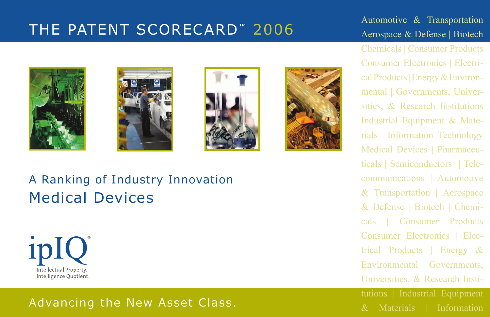# THE PATENT SCORECARD<sup>™</sup> 2006 Automotive & Transportation<br>Aerospace & Defense | Biotech

# Aerospace & Defense | Biotech







## A Ranking of Industry Innovation Medical Devices



## Advancing the New Asset Class. And the Materials of Information

Chemicals | Consumer Products Consumer Electronics | Electrical Products | Energy & Environmental | Governments, Universities, & Research Institutions Industrial Equipment & Materials Information Technology Medical Devices | Pharmaceuticals | Semiconductors | Telecommunications | Automotive & Transportation | Aerospace & Defense | Biotech | Chemicals | Consumer Products Consumer Electronics | Electrical Products | Energy & Environmental | Governments, Universities, & Research Insti-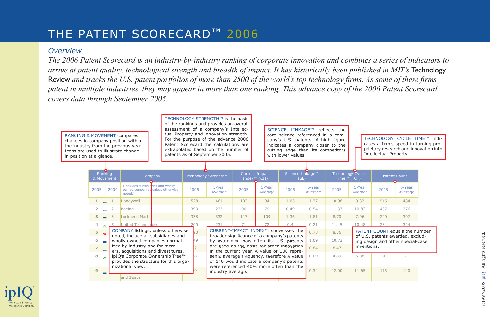## THE PATENT SCORECARD™ 2006

#### *Overview*

*The 2006 Patent Scorecard is an industry-by-industry ranking of corporate innovation and combines a series of indicators to arrive at patent quality, technological strength and breadth of impact. It has historically been published in MIT's* Technology Review and tracks the U.S. patent portfolios of more than 2500 of the world's top technology firms. As some of these firms *patent in multiple industries, they may appear in more than one ranking. This advance copy of the 2006 Patent Scorecard covers data through September 2005.* 

| RANKING & MOVEMENT compares<br>Icons are used to illustrate change<br>in position at a glance. |                |                              | changes in company position within<br>the industry from the previous year.       |      | TECHNOLOGY STRENGTH™ is the basis<br>of the rankings and provides an overall<br>assessment of a company's Intellec-<br>tual Property and innovation strength.<br>For the purpose of the advance 2006<br>Patent Scorecard the calculations are<br>extrapolated based on the number of<br>patents as of September 2005. |                                                   |                                                                                          | SCIENCE LINKAGE™<br>core science referenced in a com-<br>pany's U.S. patents. A high figure<br>indicates a company closer to the<br>cutting edge than its competitors<br>with lower values. |                   | reflects the                           |                   | Intellectual Property.                                                | TECHNOLOGY CYCLE TIME™ indi-   | cates a firm's speed in turning pro-<br>prietary research and innovation into |
|------------------------------------------------------------------------------------------------|----------------|------------------------------|----------------------------------------------------------------------------------|------|-----------------------------------------------------------------------------------------------------------------------------------------------------------------------------------------------------------------------------------------------------------------------------------------------------------------------|---------------------------------------------------|------------------------------------------------------------------------------------------|---------------------------------------------------------------------------------------------------------------------------------------------------------------------------------------------|-------------------|----------------------------------------|-------------------|-----------------------------------------------------------------------|--------------------------------|-------------------------------------------------------------------------------|
|                                                                                                |                | Ranking<br>& Movement        | Company                                                                          |      | Technology Strength™                                                                                                                                                                                                                                                                                                  | <b>Current Impact</b><br>Index <sup>™</sup> (CII) |                                                                                          | Science Linkage™<br>(SL)                                                                                                                                                                    |                   | <b>Technology Cycle</b><br>Time™ (TCT) |                   |                                                                       | Patent Count                   |                                                                               |
|                                                                                                | 2005           | 2004                         | (Includes subsidiaries and wholly<br>owned companies unless otherwise<br>noted.) | 2005 | 5-Year<br>Average                                                                                                                                                                                                                                                                                                     | 2005                                              | 5-Year<br>Average                                                                        | 2005                                                                                                                                                                                        | 5-Year<br>Average | 2005                                   | 5-Year<br>Average | 2005                                                                  | 5-Year<br>Average              |                                                                               |
|                                                                                                |                | $\equiv$                     | Honeywell                                                                        | 528  | 461                                                                                                                                                                                                                                                                                                                   | 102                                               | 94                                                                                       | 1.05                                                                                                                                                                                        | 1.27              | 10.08                                  | 9.32              | 515                                                                   | 484                            |                                                                               |
|                                                                                                | $\overline{2}$ | $\overline{2}$               | Boeing                                                                           | 393  | 223                                                                                                                                                                                                                                                                                                                   | 90                                                | 79                                                                                       | 0.49                                                                                                                                                                                        | 0.54              | 11.37                                  | 10.82             | 437                                                                   | 276                            |                                                                               |
|                                                                                                | 3              | $\overline{\phantom{a}}$     | Lockheed Martir                                                                  | 338  | 332                                                                                                                                                                                                                                                                                                                   | 117                                               | 109                                                                                      | 1.36                                                                                                                                                                                        | 1.81              | 8.70                                   | 7.96              | 290                                                                   | 307                            |                                                                               |
|                                                                                                | 4              |                              | United Technolonies                                                              | 200  |                                                                                                                                                                                                                                                                                                                       |                                                   |                                                                                          | 0.4                                                                                                                                                                                         | 0.21              | 11.45                                  | 10.48             | 284                                                                   | 324                            |                                                                               |
|                                                                                                | $5 -$          | $\overline{ }$               | COMPANY listings, unless otherwise<br>noted, include all subsidiaries and        |      |                                                                                                                                                                                                                                                                                                                       |                                                   |                                                                                          | CURRENT-IMPACT INDEX™ showcases the<br>broader significance of a company's patents                                                                                                          | 0.73              | 8.36                                   |                   |                                                                       | PATENT COUNT equals the number |                                                                               |
|                                                                                                | 6              | $\overline{a}$               | wholly owned companies normal-                                                   | 49   |                                                                                                                                                                                                                                                                                                                       |                                                   |                                                                                          | by examining how often its U.S. patents                                                                                                                                                     | 1.09              | 10.72                                  |                   | of U.S. patents awarded, exclud-<br>ing design and other special-case |                                |                                                                               |
|                                                                                                | $\overline{7}$ | $\qquad \qquad \blacksquare$ | ized by industry and for merg-<br>ers, acquisitions and divestitures.            |      |                                                                                                                                                                                                                                                                                                                       |                                                   | are used as the basis for other innovation<br>in the current year. A value of 100 repre- |                                                                                                                                                                                             | 0.84              | 8.47                                   | inventions.       |                                                                       |                                |                                                                               |
|                                                                                                | 8              | $\Delta$                     | ipIQ's Corporate Ownership Tree™<br>provides the structure for this orga-        |      |                                                                                                                                                                                                                                                                                                                       |                                                   |                                                                                          | sents average frequency, therefore a value<br>of 140 would indicate a company's patents                                                                                                     | 0.09              | 4.89                                   | 5.88              | 51                                                                    | 21                             |                                                                               |
|                                                                                                | 9              |                              | nizational view.<br>and Space                                                    |      | industry average.                                                                                                                                                                                                                                                                                                     |                                                   |                                                                                          | were referenced 40% more often than the                                                                                                                                                     | 0.34              | 12.00                                  | 11.65             | 113                                                                   | 140                            |                                                                               |

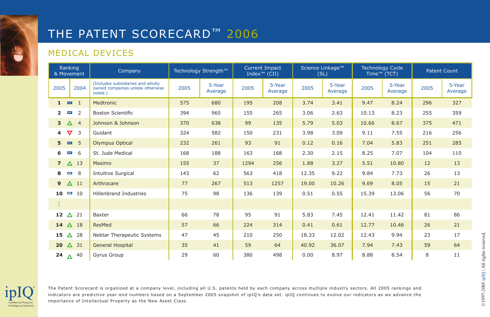## THE PATENT SCORECARD™ 2006

#### MEDICAL DEVICES

| Ranking<br>& Movement |                 |                | Technology Strength™<br>Company                                                  |      |                   | <b>Current Impact</b><br>Index <sup><math>TM</math></sup> (CII) |                   | Science Linkage™<br>(SL) |                   | <b>Technology Cycle</b><br>Time <sup>™</sup> (TCT) |                   | <b>Patent Count</b> |                   |
|-----------------------|-----------------|----------------|----------------------------------------------------------------------------------|------|-------------------|-----------------------------------------------------------------|-------------------|--------------------------|-------------------|----------------------------------------------------|-------------------|---------------------|-------------------|
| 2005                  |                 | 2004           | (Includes subsidiaries and wholly<br>owned companies unless otherwise<br>noted.) | 2005 | 5-Year<br>Average | 2005                                                            | 5-Year<br>Average | 2005                     | 5-Year<br>Average | 2005                                               | 5-Year<br>Average | 2005                | 5-Year<br>Average |
| $1 = 1$               |                 |                | Medtronic                                                                        | 575  | 680               | 195                                                             | 208               | 3.74                     | 3.41              | 9.47                                               | 8.24              | 296                 | 327               |
| $\overline{2}$        | <b>Separate</b> | 2              | <b>Boston Scientific</b>                                                         | 394  | 965               | 155                                                             | 265               | 3.06                     | 2.63              | 10.13                                              | 8.23              | 255                 | 359               |
| 3 <sup>2</sup>        | $\Delta$        | $\overline{4}$ | Johnson & Johnson                                                                | 370  | 638               | 99                                                              | 135               | 5.79                     | 5.03              | 10.66                                              | 8.67              | 375                 | 471               |
| ▽<br>4                |                 | 3              | Guidant                                                                          | 324  | 582               | 150                                                             | 231               | 3.98                     | 3.09              | 9.11                                               | 7.55              | 216                 | 256               |
| 5                     | $\blacksquare$  | 5              | <b>Olympus Optical</b>                                                           | 232  | 261               | 93                                                              | 91                | 0.12                     | 0.16              | 7.04                                               | 5.83              | 251                 | 285               |
| 6                     | O               | 6              | St. Jude Medical                                                                 | 168  | 188               | 163                                                             | 168               | 2.30                     | 2.15              | 8.25                                               | 7.07              | 104                 | 110               |
| $\overline{7}$        | $\triangle$ 13  |                | Masimo                                                                           | 155  | 37                | 1294                                                            | 256               | 1.88                     | 3.27              | 5.51                                               | 10.80             | 12                  | 13                |
| 8                     | -               | 8              | <b>Intuitive Surgical</b>                                                        | 143  | 62                | 563                                                             | 418               | 12.35                    | 9.22              | 9.84                                               | 7.73              | 26                  | 13                |
| 9                     | $\Delta$ 11     |                | Arthrocare                                                                       | 77   | 267               | 513                                                             | 1257              | 19.00                    | 10.26             | 9.69                                               | 8.05              | 15                  | 21                |
| 10                    | $\Box$ 10       |                | <b>Hillenbrand Industries</b>                                                    | 75   | 98                | 136                                                             | 139               | 0.51                     | 0.55              | 15.39                                              | 13.06             | 56                  | 70                |
|                       |                 |                |                                                                                  |      |                   |                                                                 |                   |                          |                   |                                                    |                   |                     |                   |
| 12                    | Δ               | 21             | Baxter                                                                           | 66   | 78                | 95                                                              | 91                | 5.83                     | 7.45              | 12.41                                              | 11.42             | 81                  | 86                |
| 14                    | $\Delta$ 18     |                | ResMed                                                                           | 57   | 66                | 224                                                             | 314               | 0.41                     | 0.61              | 12.77                                              | 10.46             | 26                  | 21                |
| 15                    | A               | 28             | <b>Nektar Therapeutic Systems</b>                                                | 47   | 45                | 210                                                             | 250               | 18.33                    | 12.02             | 12.43                                              | 9.94              | 23                  | 17                |
| 20 <sub>2</sub>       | $\Delta$ 31     |                | <b>General Hospital</b>                                                          | 35   | 41                | 59                                                              | 64                | 40.92                    | 36.07             | 7.94                                               | 7.43              | 59                  | 64                |
| 24 $\Delta$ 40        |                 |                | Gyrus Group                                                                      | 29   | 60                | 380                                                             | 498               | 0.00                     | 8.97              | 8.88                                               | 8.54              | 8                   | 11                |



The Patent Scorecard is organized at a company level, including all U.S. patents held by each company across multiple industry sectors. All 2005 rankings and indicators are predictive year-end numbers based on a September 2005 snapshot of ipIQ's data set. ipIQ continues to evolve our indicators as we advance the importance of Intellectual Property as the New Asset Class.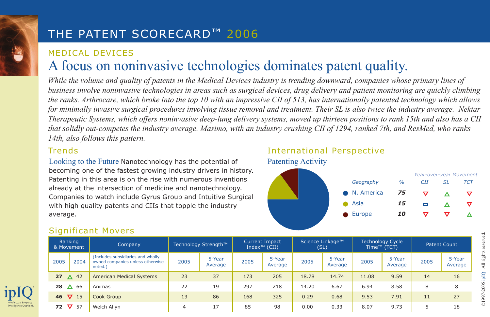## THE PATENT SCORECARD™ 2006

## MEDICAL DEVICES A focus on noninvasive technologies dominates patent quality.

*While the volume and quality of patents in the Medical Devices industry is trending downward, companies whose primary lines of business involve noninvasive technologies in areas such as surgical devices, drug delivery and patient monitoring are quickly climbing the ranks. Arthrocare, which broke into the top 10 with an impressive CII of 513, has internationally patented technology which allows for minimally invasive surgical procedures involving tissue removal and treatment. Their SL is also twice the industry average. Nektar Therapeutic Systems, which offers noninvasive deep-lung delivery systems, moved up thirteen positions to rank 15th and also has a CII that solidly out-competes the industry average. Masimo, with an industry crushing CII of 1294, ranked 7th, and ResMed, who ranks 14th, also follows this pattern.*

#### Trends

Looking to the Future Nanotechnology has the potential of becoming one of the fastest growing industry drivers in history. Patenting in this area is on the rise with numerous inventions already at the intersection of medicine and nanotechnology. Companies to watch include Gyrus Group and Intuitive Surgical with high quality patents and CIIs that topple the industry average.

#### International Perspective



#### Significant Movers

| Ranking<br>& Movement |                | Company                                                                           | Technology Strength™ |                   | <b>Current Impact</b><br>Index <sup><math>m</math></sup> (CII) |                   | Science Linkage™<br>(SL) |                   | Technology Cycle<br>Time™ (TCT) |                   | <b>Patent Count</b> |                   |
|-----------------------|----------------|-----------------------------------------------------------------------------------|----------------------|-------------------|----------------------------------------------------------------|-------------------|--------------------------|-------------------|---------------------------------|-------------------|---------------------|-------------------|
| 2005                  | 2004           | (Includes subsidiaries and wholly)<br>owned companies unless otherwise<br>noted.) | 2005                 | 5-Year<br>Average | 2005                                                           | 5-Year<br>Average | 2005                     | 5-Year<br>Average | 2005                            | 5-Year<br>Average | 2005                | 5-Year<br>Average |
| 27                    | $\triangle$ 42 | <b>American Medical Systems</b>                                                   | 23                   | 37                | 173                                                            | 205               | 18.78                    | 14.74             | 11.08                           | 9.59              | 14                  | 16                |
| 28<br>$\Delta$        | 66             | Animas                                                                            | 22                   | 19                | 297                                                            | 218               | 14.20                    | 6.67              | 6.94                            | 8.58              | 8                   | 8                 |
| 46 $\nabla$ 15        |                | Cook Group                                                                        | 13                   | 86                | 168                                                            | 325               | 0.29                     | 0.68              | 9.53                            | 7.91              | 11                  | 27                |
| 72                    | $\nabla$ 57    | Welch Allyn                                                                       | 4                    | 17                | 85                                                             | 98                | 0.00                     | 0.33              | 8.07                            | 9.73              |                     | 18                |